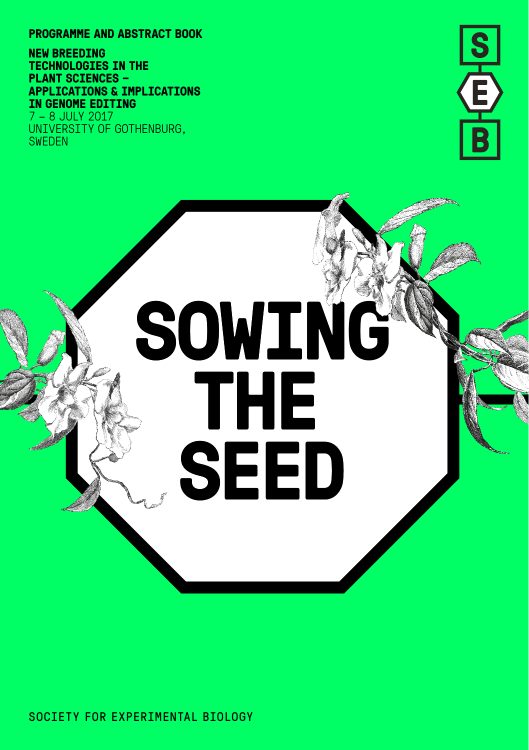**PROGRAMME AND ABSTRACT BOOK**

**NEW BREEDING TECHNOLOGIES IN THE PLANT SCIENCES – APPLICATIONS & IMPLICATIONS IN GENOME EDITING**

7 – 8 JULY 2017 UNIVERSITY OF GOTHENBURG, SWEDEN



# **SOWIN SOWING THE SEED**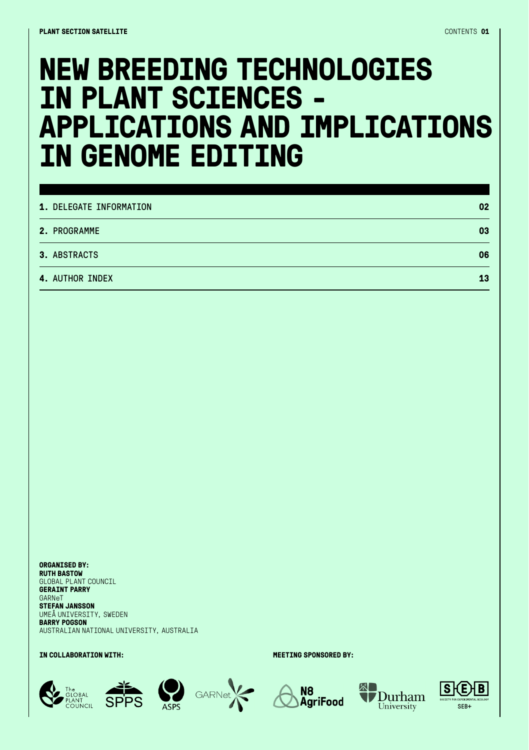### **NEW BREEDING TECHNOLOGIES IN PLANT SCIENCES - APPLICATIONS AND IMPLICATIONS IN GENOME EDITING**

| 1. DELEGATE INFORMATION | 02 |
|-------------------------|----|
| 2. PROGRAMME            | 03 |
| 3. ABSTRACTS            | 06 |
| <b>4. AUTHOR INDEX</b>  | 13 |

**ORGANISED BY: RUTH BASTOW**  GLOBAL PLANT COUNCIL **GERAINT PARRY**  GARNeT **STEFAN JANSSON**  UMEÅ UNIVERSITY, SWEDEN **BARRY POGSON** AUSTRALIAN NATIONAL UNIVERSITY, AUSTRALIA

#### **IN COLLABORATION WITH: MEETING SPONSORED BY:**











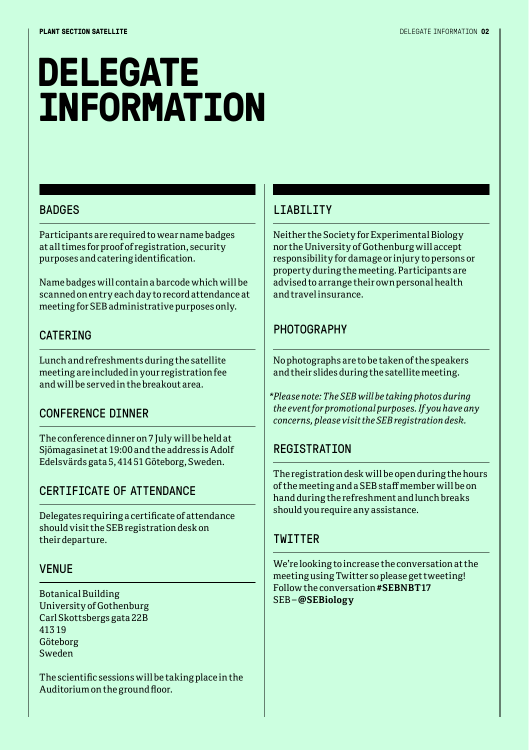### **DELEGATE INFORMATION**

#### BADGES

Participants are required to wear name badges at all times for proof of registration, security purposes and catering identification.

Name badges will contain a barcode which will be scanned on entry each day to record attendance at meeting for SEB administrative purposes only.

#### CATERING

Lunch and refreshments during the satellite meeting are included in your registration fee and will be served in the breakout area.

#### CONFERENCE DINNER

The conference dinner on 7 July will be held at Sjömagasinet at 19:00 and the address is Adolf Edelsvärds gata 5, 414 51 Göteborg, Sweden.

#### CERTIFICATE OF ATTENDANCE

Delegates requiring a certificate of attendance should visit the SEB registration desk on their departure.

#### VENUE

Botanical Building University of Gothenburg Carl Skottsbergs gata 22B 413 19 Göteborg Sweden

The scientific sessions will be taking place in the Auditorium on the ground floor.

#### LIABILITY

Neither the Society for Experimental Biology nor the University of Gothenburg will accept responsibility for damage or injury to persons or property during the meeting. Participants are advised to arrange their own personal health and travel insurance.

#### **PHOTOGRAPHY**

No photographs are to be taken of the speakers and their slides during the satellite meeting.

*\*Please note: The SEB will be taking photos during the event for promotional purposes. If you have any concerns, please visit the SEB registration desk.*

#### **REGISTRATION**

The registration desk will be open during the hours of the meeting and a SEB staff member will be on hand during the refreshment and lunch breaks should you require any assistance.

#### **TWITTER**

We're looking to increase the conversation at the meeting using Twitter so please get tweeting! Follow the conversation **#SEBNBT17** SEB – **@SEBiology**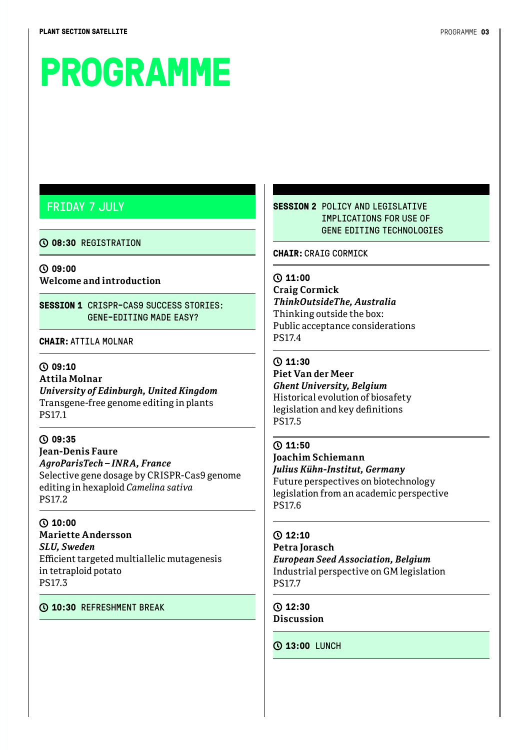### **PROGRAMME**

#### FRIDAY 7 JULY

#### **08:30** REGISTRATION

**09:00 Welcome and introduction** 

**SESSION 1** CRISPR-CAS9 SUCCESS STORIES: GENE-EDITING MADE EASY?

**CHAIR:**ATTILA MOLNAR

#### **09:10 Attila Molnar**  *University of Edinburgh, United Kingdom* Transgene-free genome editing in plants

PS17.1

**09:35 Jean-Denis Faure**  *AgroParisTech – INRA, France* Selective gene dosage by CRISPR-Cas9 genome editing in hexaploid *Camelina sativa* PS17.2

**10:00 Mariette Andersson**  *SLU, Sweden* Efficient targeted multiallelic mutagenesis in tetraploid potato PS17.3

#### **10:30** REFRESHMENT BREAK

**SESSION 2** POLICY AND LEGISLATIVE TMPLICATIONS FOR USE OF GENE EDITING TECHNOLOGIES

**CHAIR:**CRAIG CORMICK

#### **11:00**

**Craig Cormick**  *ThinkOutsideThe, Australia* Thinking outside the box: Public acceptance considerations PS17.4

**11:30** 

**Piet Van der Meer**  *Ghent University, Belgium* Historical evolution of biosafety legislation and key definitions PS17.5

#### **11:50**

**Joachim Schiemann**  *Julius Kühn-Institut, Germany* Future perspectives on biotechnology legislation from an academic perspective PS17.6

#### **12:10**

**Petra Jorasch**  *European Seed Association, Belgium* Industrial perspective on GM legislation PS17.7

**12:30 Discussion**

**13:00** LUNCH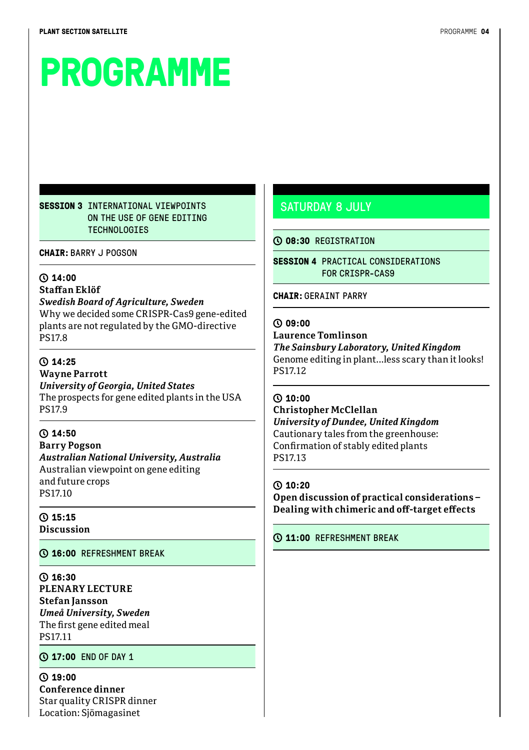## **PROGRAMME**

#### **SESSION 3** INTERNATIONAL VIEWPOINTS ON THE USE OF GENE EDITING **TECHNOLOGIES**

**CHAIR:**BARRY J POGSON

#### **14:00**

#### **Staffan Eklöf**

*Swedish Board of Agriculture, Sweden* Why we decided some CRISPR-Cas9 gene-edited plants are not regulated by the GMO-directive PS17.8

#### **14:25**

**Wayne Parrott**  *University of Georgia, United States* The prospects for gene edited plants in the USA PS17.9

#### **14:50 Barry Pogson**  *Australian National University, Australia* Australian viewpoint on gene editing and future crops PS17.10

**15:15 Discussion**

#### **16:00** REFRESHMENT BREAK

**16:30 PLENARY LECTURE Stefan Jansson**  *Umeå University, Sweden* The first gene edited meal PS17.11

#### **17:00** END OF DAY 1

**19:00 Conference dinner** Star quality CRISPR dinner Location: Sjömagasinet

#### SATURDAY 8 JULY

#### **08:30** REGISTRATION

**SESSION 4 PRACTICAL CONSIDERATIONS** FOR CRISPR-CAS9

#### **CHAIR:**GERAINT PARRY

#### **09:00**

**Laurence Tomlinson**

*The Sainsbury Laboratory, United Kingdom* Genome editing in plant...less scary than it looks! PS17.12

#### **10:00**

#### **Christopher McClellan**  *University of Dundee, United Kingdom* Cautionary tales from the greenhouse: Confirmation of stably edited plants PS17.13

#### **10:20**

**Open discussion of practical considerations – Dealing with chimeric and off-target effects**

#### **11:00** REFRESHMENT BREAK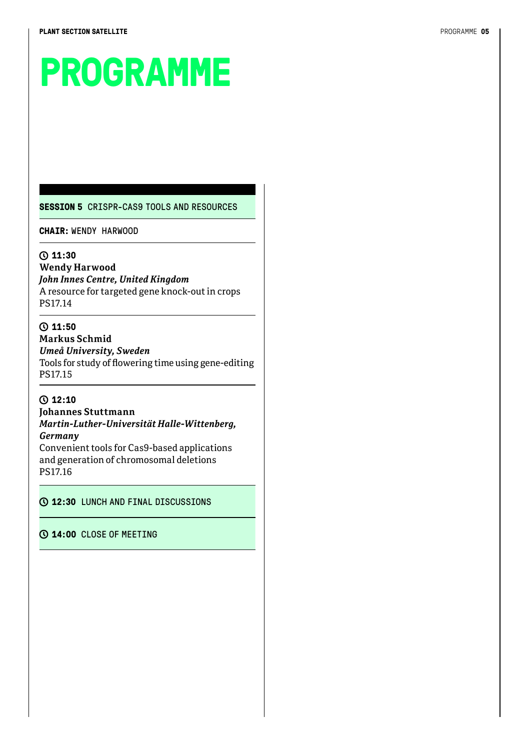# **PROGRAMME**

**SESSION 5** CRISPR-CAS9 TOOLS AND RESOURCES

**CHAIR:** WENDY HARWOOD

#### **11:30**

**Wendy Harwood**  *John Innes Centre, United Kingdom* A resource for targeted gene knock-out in crops PS17.14

#### **11:50**

**Markus Schmid**  *Umeå University, Sweden* Tools for study of flowering time using gene-editing PS17.15

#### **12:10**

**Johannes Stuttmann**  *Martin-Luther-Universität Halle-Wittenberg, Germany*

Convenient tools for Cas9-based applications and generation of chromosomal deletions PS17.16

#### **12:30** LUNCH AND FINAL DISCUSSIONS

#### **14:00** CLOSE OF MEETING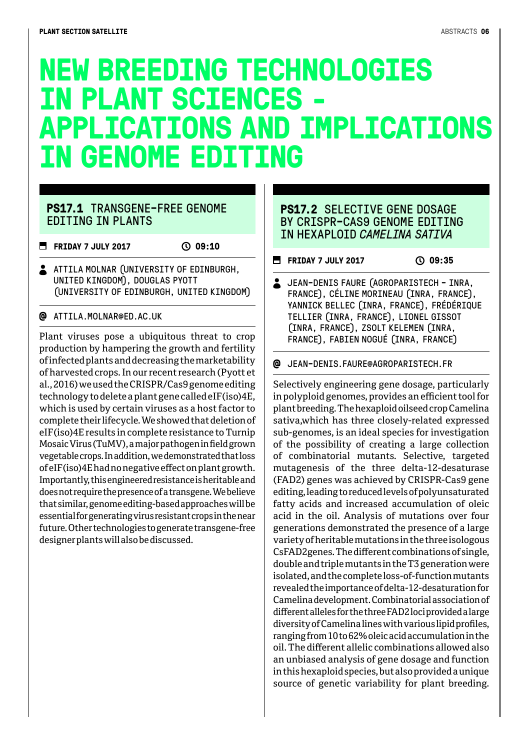### **NEW BREEDING TECHNOLOGIES IN PLANT SCIENCES - APPLICATIONS AND IMPLICATIONS IN GENOME EDITING**

#### **PS17.1** TRANSGENE-FREE GENOME EDITING IN PLANTS

**FRIDAY 7 JULY 2017** (2017)

ATTILA MOLNAR (UNIVERSITY OF EDINBURGH, UNITED KINGDOM), DOUGLAS PYOTT (UNIVERSITY OF EDINBURGH, UNITED KINGDOM)

#### ATTILA.MOLNAR@ED.AC.UK

Plant viruses pose a ubiquitous threat to crop production by hampering the growth and fertility of infected plants and decreasing the marketability of harvested crops. In our recent research (Pyott et al., 2016) we used the CRISPR/Cas9 genome editing technology to delete a plant gene called eIF(iso)4E, which is used by certain viruses as a host factor to complete their lifecycle. We showed that deletion of eIF(iso)4E results in complete resistance to Turnip Mosaic Virus (TuMV), a major pathogen in field grown vegetable crops. In addition, we demonstrated that loss of eIF(iso)4E had no negative effect on plant growth. Importantly, this engineered resistance is heritable and does not require the presence of a transgene. We believe that similar, genome editing-based approaches will be essential for generating virus resistant crops in the near future. Other technologies to generate transgene-free designer plants will also be discussed.

#### **PS17.2** SELECTIVE GENE DOSAGE BY CRISPR-CAS9 GENOME EDITING IN HEXAPLOID *CAMELINA SATIVA*

#### **FRIDAY 7 JULY 2017** (2017)

 JEAN-DENIS FAURE (AGROPARISTECH - INRA, FRANCE), CÉLINE MORINEAU (INRA, FRANCE), YANNICK BELLEC (INRA, FRANCE), FRÉDÉRIQUE TELLIER (INRA, FRANCE), LIONEL GISSOT (INRA, FRANCE), ZSOLT KELEMEN (INRA, FRANCE), FABIEN NOGUÉ (INRA, FRANCE)

#### JEAN-DENIS.FAURE@AGROPARISTECH.FR

Selectively engineering gene dosage, particularly in polyploid genomes, provides an efficient tool for plant breeding. The hexaploid oilseed crop Camelina sativa,which has three closely-related expressed sub-genomes, is an ideal species for investigation of the possibility of creating a large collection of combinatorial mutants. Selective, targeted mutagenesis of the three delta-12-desaturase (FAD2) genes was achieved by CRISPR-Cas9 gene editing, leading to reduced levels of polyunsaturated fatty acids and increased accumulation of oleic acid in the oil. Analysis of mutations over four generations demonstrated the presence of a large variety of heritable mutations in the three isologous CsFAD2genes. The different combinations of single, double and triple mutants in the T3 generation were isolated, and the complete loss-of-function mutants revealed the importance of delta-12-desaturation for Camelina development. Combinatorial association of different alleles for the three FAD2 loci provided a large diversity of Camelina lines with various lipid profiles, ranging from 10 to 62% oleic acid accumulation in the oil. The different allelic combinations allowed also an unbiased analysis of gene dosage and function in this hexaploid species, but also provided a unique source of genetic variability for plant breeding.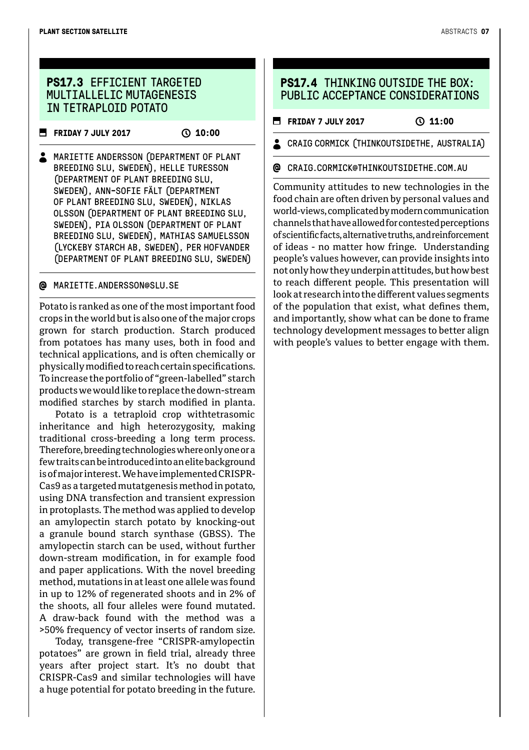#### **PS17.3** EFFICIENT TARGETED MULTTALLELTC MUTAGENESTS IN TETRAPLOID POTATO

**FRIDAY 7 JULY 2017** (2010)

**A** MARIETTE ANDERSSON (DEPARTMENT OF PLANT BREEDING SLU, SWEDEN), HELLE TURESSON (DEPARTMENT OF PLANT BREEDING SLU, SWEDEN), ANN-SOFIE FÄLT (DEPARTMENT OF PLANT BREEDING SLU, SWEDEN), NIKLAS OLSSON (DEPARTMENT OF PLANT BREEDING SLU, SWEDEN), PIA OLSSON (DEPARTMENT OF PLANT BREEDING SLU, SWEDEN), MATHIAS SAMUELSSON (LYCKEBY STARCH AB, SWEDEN), PER HOFVANDER (DEPARTMENT OF PLANT BREEDING SLU, SWEDEN)

#### MARIETTE.ANDERSSON@SLU.SE

Potato is ranked as one of the most important food crops in the world but is also one of the major crops grown for starch production. Starch produced from potatoes has many uses, both in food and technical applications, and is often chemically or physically modified to reach certain specifications. To increase the portfolio of "green-labelled" starch products we would like to replace the down-stream modified starches by starch modified in planta.

Potato is a tetraploid crop withtetrasomic inheritance and high heterozygosity, making traditional cross-breeding a long term process. Therefore, breeding technologies where only one or a few traits can be introduced into an elite background is of major interest. We have implemented CRISPR-Cas9 as a targeted mutatgenesis method in potato, using DNA transfection and transient expression in protoplasts. The method was applied to develop an amylopectin starch potato by knocking-out a granule bound starch synthase (GBSS). The amylopectin starch can be used, without further down-stream modification, in for example food and paper applications. With the novel breeding method, mutations in at least one allele was found in up to 12% of regenerated shoots and in 2% of the shoots, all four alleles were found mutated. A draw-back found with the method was a >50% frequency of vector inserts of random size.

Today, transgene-free "CRISPR-amylopectin potatoes" are grown in field trial, already three years after project start. It's no doubt that CRISPR-Cas9 and similar technologies will have a huge potential for potato breeding in the future.

#### **PS17.4 THINKING OUTSIDE THE BOX:** PUBLIC ACCEPTANCE CONSIDERATIONS

**FRIDAY 7 JULY 2017** (2017)

CRAIG CORMICK (THINKOUTSIDETHE, AUSTRALIA)

#### ര CRAIG.CORMICK@THINKOUTSIDETHE.COM.AU

Community attitudes to new technologies in the food chain are often driven by personal values and world-views, complicated by modern communication channels that have allowed for contested perceptions of scientific facts, alternative truths, and reinforcement of ideas - no matter how fringe. Understanding people's values however, can provide insights into not only how they underpin attitudes, but how best to reach different people. This presentation will look at research into the different values segments of the population that exist, what defines them, and importantly, show what can be done to frame technology development messages to better align with people's values to better engage with them.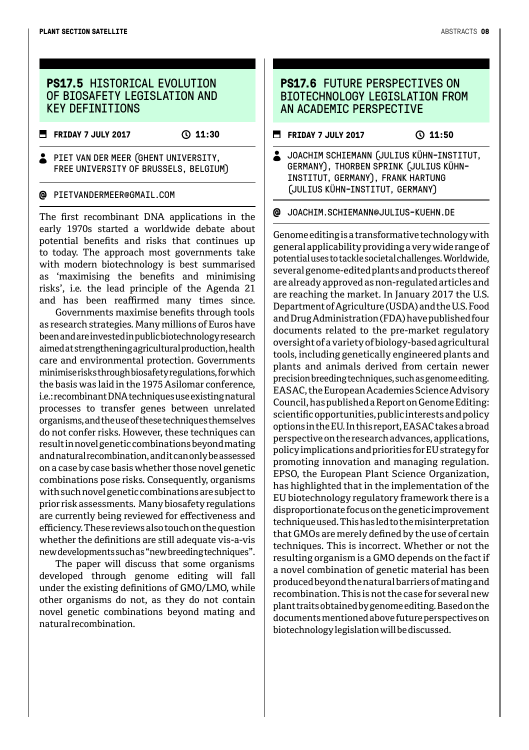#### **PS17.5 HTSTORTCAL EVOLUTTON** OF BIOSAFFTY LEGISLATION AND KEY DEFINITIONS

**FRIDAY 7 JULY 2017** ( 11:30

#### PIET VAN DER MEER (GHENT UNIVERSITY, FREE UNIVERSITY OF BRUSSELS, BELGIUM)

#### PIETVANDERMEER@GMAIL.COM

The first recombinant DNA applications in the early 1970s started a worldwide debate about potential benefits and risks that continues up to today. The approach most governments take with modern biotechnology is best summarised as 'maximising the benefits and minimising risks', i.e. the lead principle of the Agenda 21 and has been reaffirmed many times since.

Governments maximise benefits through tools as research strategies. Many millions of Euros have been and are invested in public biotechnology research aimed at strengthening agricultural production, health care and environmental protection. Governments minimise risks through biosafety regulations, for which the basis was laid in the 1975 Asilomar conference, i.e.: recombinant DNA techniques use existing natural processes to transfer genes between unrelated organisms, and the use of these techniques themselves do not confer risks. However, these techniques can result in novel genetic combinations beyond mating and natural recombination, and it can only be assessed on a case by case basis whether those novel genetic combinations pose risks. Consequently, organisms with such novel genetic combinations are subject to prior risk assessments. Many biosafety regulations are currently being reviewed for effectiveness and efficiency. These reviews also touch on the question whether the definitions are still adequate vis-a-vis new developments such as "new breeding techniques".

The paper will discuss that some organisms developed through genome editing will fall under the existing definitions of GMO/LMO, while other organisms do not, as they do not contain novel genetic combinations beyond mating and natural recombination.

#### **PS17.6** FUTURE PERSPECTIVES ON BIOTECHNOLOGY LEGISLATION FROM AN ACADEMIC PERSPECTIVE

- **FRIDAY 7 JULY 2017 31:50**
- **JOACHIM SCHIEMANN (JULIUS KÜHN-INSTITUT,** GERMANY), THORBEN SPRINK (JULIUS KÜHN-INSTITUT, GERMANY), FRANK HARTUNG (JULIUS KÜHN-INSTITUT, GERMANY)

JOACHIM.SCHIEMANN@JULIUS-KUEHN.DE

Genome editing is a transformative technology with general applicability providing a very wide range of potential uses to tackle societal challenges. Worldwide, several genome-edited plants and products thereof are already approved as non-regulated articles and are reaching the market. In January 2017 the U.S. Department of Agriculture (USDA) and the U.S. Food and Drug Administration (FDA) have published four documents related to the pre-market regulatory oversight of a variety of biology-based agricultural tools, including genetically engineered plants and plants and animals derived from certain newer precision breeding techniques, such as genome editing. EASAC, the European Academies Science Advisory Council, has published a Report on Genome Editing: scientific opportunities, public interests and policy options in the EU. In this report, EASAC takes a broad perspective on the research advances, applications, policy implications and priorities for EU strategy for promoting innovation and managing regulation. EPSO, the European Plant Science Organization, has highlighted that in the implementation of the EU biotechnology regulatory framework there is a disproportionate focus on the genetic improvement technique used. This has led to the misinterpretation that GMOs are merely defined by the use of certain techniques. This is incorrect. Whether or not the resulting organism is a GMO depends on the fact if a novel combination of genetic material has been produced beyond the natural barriers of mating and recombination. This is not the case for several new plant traits obtained by genome editing. Based on the documents mentioned above future perspectives on biotechnology legislation will be discussed.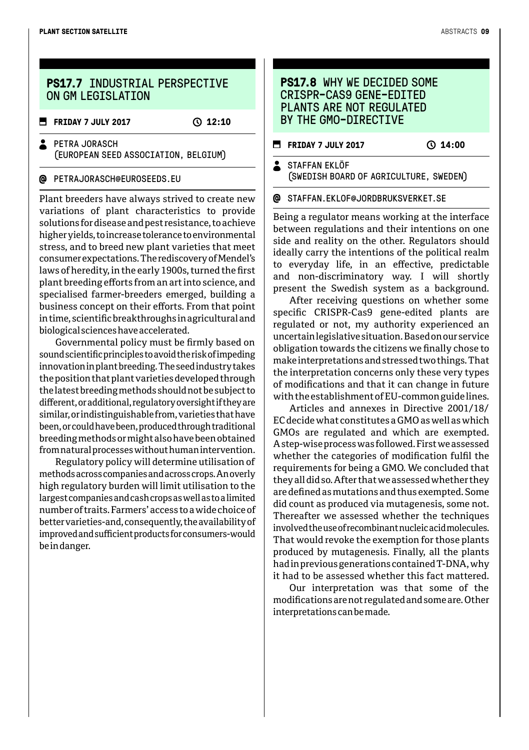#### **PS17.7 INDUSTRIAL PERSPECTIVE** ON GM LEGTSLATTON

**FRIDAY 7 JULY 2017** (2017)

**2** PETRA JORASCH (EUROPEAN SEED ASSOCIATION, BELGIUM)

#### @ PETRAJORASCH@EUROSEEDS.EU

Plant breeders have always strived to create new variations of plant characteristics to provide solutions for disease and pest resistance, to achieve higher yields, to increase tolerance to environmental stress, and to breed new plant varieties that meet consumer expectations. The rediscovery of Mendel's laws of heredity, in the early 1900s, turned the first plant breeding efforts from an art into science, and specialised farmer-breeders emerged, building a business concept on their efforts. From that point in time, scientific breakthroughs in agricultural and biological sciences have accelerated.

Governmental policy must be firmly based on sound scientific principles to avoid the risk of impeding innovation in plant breeding. The seed industry takes the position that plant varieties developed through the latest breeding methods should not be subject to different, or additional, regulatory oversight if they are similar, or indistinguishable from, varieties that have been, or could have been, produced through traditional breeding methods or might also have been obtained from natural processes without human intervention.

Regulatory policy will determine utilisation of methods across companies and across crops. An overly high regulatory burden will limit utilisation to the largest companies and cash crops as well as to a limited number of traits. Farmers' access to a wide choice of better varieties-and, consequently, the availability of improved and sufficient products for consumers-would be in danger.

#### **PS17.8** WHY WE DECIDED SOME CRISPR-CAS9 GENE-EDITED PLANTS ARE NOT REGULATED BY THE GMO-DIRECTIVE

**FRIDAY 7 JULY 2017** ( 14:00

STAFFAN FKLÖF (SWEDISH BOARD OF AGRICULTURE, SWEDEN)

#### @ STAFFAN.EKLOF@JORDBRUKSVERKET.SE

Being a regulator means working at the interface between regulations and their intentions on one side and reality on the other. Regulators should ideally carry the intentions of the political realm to everyday life, in an effective, predictable and non-discriminatory way. I will shortly present the Swedish system as a background.

After receiving questions on whether some specific CRISPR-Cas9 gene-edited plants are regulated or not, my authority experienced an uncertain legislative situation. Based on our service obligation towards the citizens we finally chose to make interpretations and stressed two things. That the interpretation concerns only these very types of modifications and that it can change in future with the establishment of EU-common guide lines.

Articles and annexes in Directive 2001/18/ EC decide what constitutes a GMO as well as which GMOs are regulated and which are exempted. A step-wise process was followed. First we assessed whether the categories of modification fulfil the requirements for being a GMO. We concluded that they all did so. After that we assessed whether they are defined as mutations and thus exempted. Some did count as produced via mutagenesis, some not. Thereafter we assessed whether the techniques involved the use of recombinant nucleic acid molecules. That would revoke the exemption for those plants produced by mutagenesis. Finally, all the plants had in previous generations contained T-DNA, why it had to be assessed whether this fact mattered.

Our interpretation was that some of the modifications are not regulated and some are. Other interpretations can be made.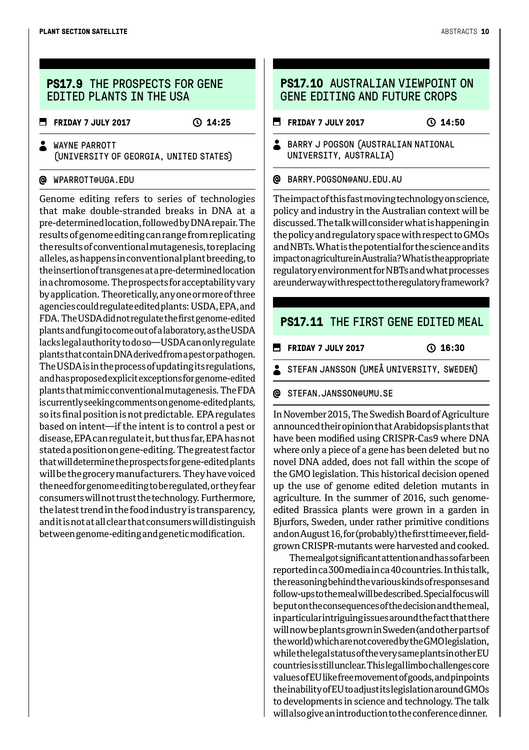#### **PS17.9** THE PROSPECTS FOR GENE EDITED PLANTS IN THE USA

**FRIDAY 7 JULY 2017** (25) 14:25

**A** WAYNE PARROTT (UNIVERSITY OF GEORGIA, UNITED STATES)

#### @ WPARROTT@UGA.EDU

Genome editing refers to series of technologies that make double-stranded breaks in DNA at a pre-determined location, followed by DNA repair. The results of genome editing can range from replicating the results of conventional mutagenesis, to replacing alleles, as happens in conventional plant breeding, to the insertion of transgenes at a pre-determined location in a chromosome. The prospects for acceptability vary by application. Theoretically, any one or more of three agencies could regulate edited plants: USDA, EPA, and FDA. The USDA did not regulate the first genome-edited plants and fungi to come out of a laboratory, as the USDA lacks legal authority to do so—USDA can only regulate plants that contain DNA derived from a pest or pathogen. The USDA is in the process of updating its regulations, and has proposed explicit exceptions for genome-edited plants that mimic conventional mutagenesis. The FDA is currently seeking comments on genome-edited plants, so its final position is not predictable. EPA regulates based on intent—if the intent is to control a pest or disease, EPA can regulate it, but thus far, EPA has not stated a position on gene-editing. The greatest factor that will determine the prospects for gene-edited plants will be the grocery manufacturers. They have voiced the need for genome editing to be regulated, or they fear consumers will not trust the technology. Furthermore, the latest trend in the food industry is transparency, and it is not at all clear that consumers will distinguish between genome-editing and genetic modification.

#### **PS17.10** AUSTRALIAN VIEWPOINT ON GENE EDITING AND FUTURE CROPS

**FRIDAY 7 JULY 2017** (0.14:50

**BARRY J POGSON (AUSTRALIAN NATIONAL** UNIVERSITY, AUSTRALIA)

BARRY.POGSON@ANU.EDU.AU

The impact of this fast moving technology on science, policy and industry in the Australian context will be discussed. The talk will consider what is happening in the policy and regulatory space with respect to GMOs and NBTs. What is the potential for the science and its impact on agriculture in Australia? What is the appropriate regulatory environment for NBTs and what processes are underway with respect to the regulatory framework?

#### **PS17.11** THE FIRST GENE EDITED MEAL

**FRIDAY 7 JULY 2017** 0 16:30

STEFAN JANSSON (UMEÅ UNIVERSITY, SWEDEN)

#### @ STEFAN.JANSSON@UMU.SE

In November 2015, The Swedish Board of Agriculture announced their opinion that Arabidopsis plants that have been modified using CRISPR-Cas9 where DNA where only a piece of a gene has been deleted but no novel DNA added, does not fall within the scope of the GMO legislation. This historical decision opened up the use of genome edited deletion mutants in agriculture. In the summer of 2016, such genomeedited Brassica plants were grown in a garden in Bjurfors, Sweden, under rather primitive conditions and on August 16, for (probably) the first time ever, fieldgrown CRISPR-mutants were harvested and cooked.

The meal got significant attention and has so far been reported in ca 300 media in ca 40 countries. In this talk, the reasoning behind the various kinds of responses and follow-ups to the meal will be described. Special focus will be put on the consequences of the decision and the meal, in particular intriguing issues around the fact that there will now be plants grown in Sweden (and other parts of the world) which are not covered by the GMO legislation, while the legal status of the very same plants in other EU countries is still unclear. This legal limbo challenges core values of EU like free movement of goods, and pinpoints the inability of EU to adjust its legislation around GMOs to developments in science and technology. The talk will also give an introduction to the conference dinner.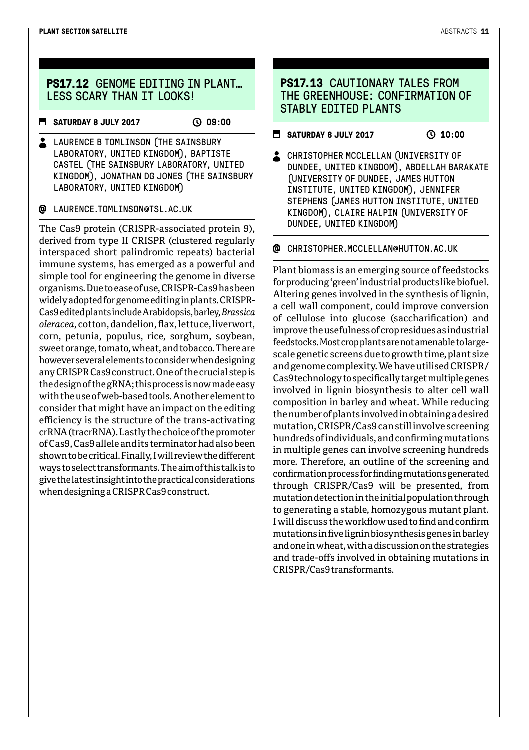### **PS17.12** GENOME EDITING IN PLANT… LESS SCARY THAN IT LOOKS!

**E** SATURDAY 8 JULY 2017 ① 09:00

LAURENCE B TOMLINSON (THE SAINSBURY LABORATORY, UNITED KINGDOM), BAPTISTE CASTEL (THE SATNSBURY LABORATORY, UNTTED) KINGDOM), JONATHAN DG JONES (THE SAINSBURY LABORATORY, UNITED KINGDOM)

#### LAURENCE.TOMLINSON@TSL.AC.UK

The Cas9 protein (CRISPR-associated protein 9), derived from type II CRISPR (clustered regularly interspaced short palindromic repeats) bacterial immune systems, has emerged as a powerful and simple tool for engineering the genome in diverse organisms. Due to ease of use, CRISPR-Cas9 has been widely adopted for genome editing in plants. CRISPR-Cas9 edited plants include Arabidopsis, barley, *Brassica oleracea*, cotton, dandelion, flax, lettuce, liverwort, corn, petunia, populus, rice, sorghum, soybean, sweet orange, tomato, wheat, and tobacco. There are however several elements to consider when designing any CRISPR Cas9 construct. One of the crucial step is the design of the gRNA; this process is now made easy with the use of web-based tools. Another element to consider that might have an impact on the editing efficiency is the structure of the trans-activating crRNA (tracrRNA). Lastly the choice of the promoter of Cas9, Cas9 allele and its terminator had also been shown to be critical. Finally, I will review the different ways to select transformants. The aim of this talk is to give the latest insight into the practical considerations when designing a CRISPR Cas9 construct.

#### **PS17.13 CAUTTONARY TALES FROM** THE GREENHOUSE: CONFIRMATION OF STABLY EDITED PLANTS

- **SATURDAY 8 JULY 2017** ( 0 10:00
- CHRISTOPHER MCCLELLAN (UNIVERSITY OF DUNDEE, UNITED KINGDOM), ABDELLAH BARAKATE (UNIVERSITY OF DUNDEE, JAMES HUTTON INSTITUTE, UNITED KINGDOM), JENNIFER STEPHENS (JAMES HUTTON INSTITUTE, UNITED KINGDOM), CLAIRE HALPIN (UNIVERSITY OF DUNDEE, UNITED KINGDOM)
- CHRISTOPHER.MCCLELLAN@HUTTON.AC.UK

Plant biomass is an emerging source of feedstocks for producing 'green' industrial products like biofuel. Altering genes involved in the synthesis of lignin, a cell wall component, could improve conversion of cellulose into glucose (saccharification) and improve the usefulness of crop residues as industrial feedstocks. Most crop plants are not amenable to largescale genetic screens due to growth time, plant size and genome complexity. We have utilised CRISPR/ Cas9 technology to specifically target multiple genes involved in lignin biosynthesis to alter cell wall composition in barley and wheat. While reducing the number of plants involved in obtaining a desired mutation, CRISPR/Cas9 can still involve screening hundreds of individuals, and confirming mutations in multiple genes can involve screening hundreds more. Therefore, an outline of the screening and confirmation process for finding mutations generated through CRISPR/Cas9 will be presented, from mutation detection in the initial population through to generating a stable, homozygous mutant plant. I will discuss the workflow used to find and confirm mutations in five lignin biosynthesis genes in barley and one in wheat, with a discussion on the strategies and trade-offs involved in obtaining mutations in CRISPR/Cas9 transformants.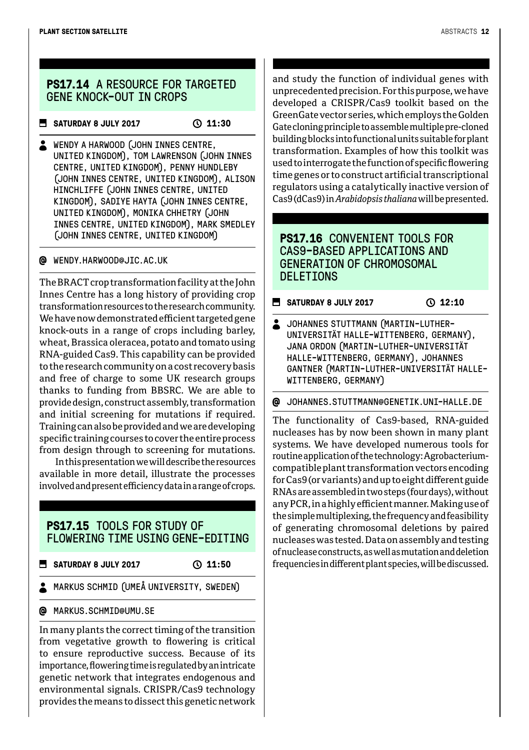#### **PS17.14** A RESOURCE FOR TARGETED GENE KNOCK-OUT IN CROPS

#### **SATURDAY 8 JULY 2017** ( 11:30

WENDY A HARWOOD (JOHN INNES CENTRE, UNITED KINGDOM), TOM LAWRENSON (JOHN INNES CENTRE, UNITED KINGDOM), PENNY HUNDLEBY (JOHN INNES CENTRE, UNITED KINGDOM), ALISON HINCHLIFFE (JOHN INNES CENTRE, UNITED KINGDOM), SADIYE HAYTA (JOHN INNES CENTRE, UNITED KINGDOM), MONIKA CHHETRY (JOHN INNES CENTRE, UNITED KINGDOM), MARK SMEDLEY (JOHN INNES CENTRE, UNITED KINGDOM)

#### WENDY.HARWOOD@JIC.AC.UK

The BRACT crop transformation facility at the John Innes Centre has a long history of providing crop transformation resources to the research community. We have now demonstrated efficient targeted gene knock-outs in a range of crops including barley, wheat, Brassica oleracea, potato and tomato using RNA-guided Cas9. This capability can be provided to the research community on a cost recovery basis and free of charge to some UK research groups thanks to funding from BBSRC. We are able to provide design, construct assembly, transformation and initial screening for mutations if required. Training can also be provided and we are developing specific training courses to cover the entire process from design through to screening for mutations.

In this presentation we will describe the resources available in more detail, illustrate the processes involved and present efficiency data in a range of crops.

#### **PS17.15** TOOLS FOR STUDY OF FLOWERING TIME USING GENE-EDITING

**B** SATURDAY 8 JULY 2017 ① 11:50

**A** MARKUS SCHMID (UMEÅ UNIVERSITY, SWEDEN)

@ MARKUS.SCHMID@UMU.SE

In many plants the correct timing of the transition from vegetative growth to flowering is critical to ensure reproductive success. Because of its importance, flowering time is regulated by an intricate genetic network that integrates endogenous and environmental signals. CRISPR/Cas9 technology provides the means to dissect this genetic network and study the function of individual genes with unprecedented precision. For this purpose, we have developed a CRISPR/Cas9 toolkit based on the GreenGate vector series, which employs the Golden Gate cloning principle to assemble multiple pre-cloned building blocks into functional units suitable for plant transformation. Examples of how this toolkit was used to interrogate the function of specific flowering time genes or to construct artificial transcriptional regulators using a catalytically inactive version of Cas9 (dCas9) in *Arabidopsis thaliana* will be presented.

#### **PS17.16** CONVENIENT TOOLS FOR CAS9-BASED APPLICATIONS AND GENERATION OF CHROMOSOMAL DELETIONS

**SATURDAY 8 JULY 2017** (2017)

**JOHANNES STUTTMANN (MARTIN-LUTHER-**UNIVERSITÄT HALLE-WITTENBERG, GERMANY), JANA ORDON (MARTIN-LUTHER-UNIVERSITÄT HALLE-WITTENBERG, GERMANY), JOHANNES GANTNER (MARTIN-LUTHER-UNIVERSITÄT HALLE-WITTENBERG, GERMANY)

JOHANNES.STUTTMANN@GENETIK.UNI-HALLE.DE

The functionality of Cas9-based, RNA-guided nucleases has by now been shown in many plant systems. We have developed numerous tools for routine application of the technology: Agrobacteriumcompatible plant transformation vectors encoding for Cas9 (or variants) and up to eight different guide RNAs are assembled in two steps (four days), without any PCR, in a highly efficient manner. Making use of the simple multiplexing, the frequency and feasibility of generating chromosomal deletions by paired nucleases was tested. Data on assembly and testing of nuclease constructs, as well as mutation and deletion frequencies in different plant species, will be discussed.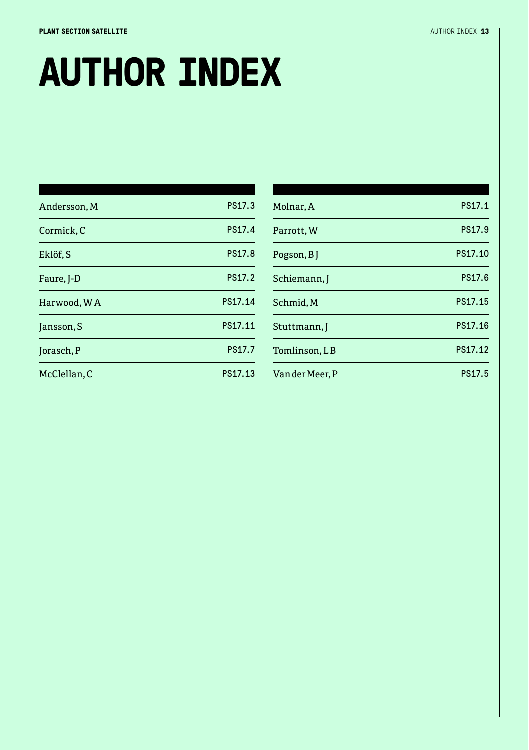#### **PLANT SECTION SATELLITE** AND RESERVE AND RESERVE AND RESERVE AND RESERVE AND RESERVE AND RESERVE AND RESERVE AND RESERVE AND RESERVE AND RESERVE AND RESERVE AND RESERVE AND RESERVE AND RESERVE AND RESERVE AND RESERVE AND

# **AUTHOR INDEX**

| Andersson, M | PS17.3  |
|--------------|---------|
| Cormick, C   | PS17.4  |
| Eklöf, S     | PS17.8  |
| Faure, J-D   | PS17.2  |
| Harwood, WA  | PS17.14 |
| Jansson, S   | PS17.11 |
| Jorasch, P   | PS17.7  |
| McClellan, C | PS17.13 |
|              |         |

| Molnar, A       | PS17.1  |
|-----------------|---------|
| Parrott, W      | PS17.9  |
| Pogson, BJ      | PS17.10 |
| Schiemann, I    | PS17.6  |
| Schmid, M       | PS17.15 |
| Stuttmann, I    | PS17.16 |
| Tomlinson, LB   | PS17.12 |
| Van der Meer, P | PS17.5  |